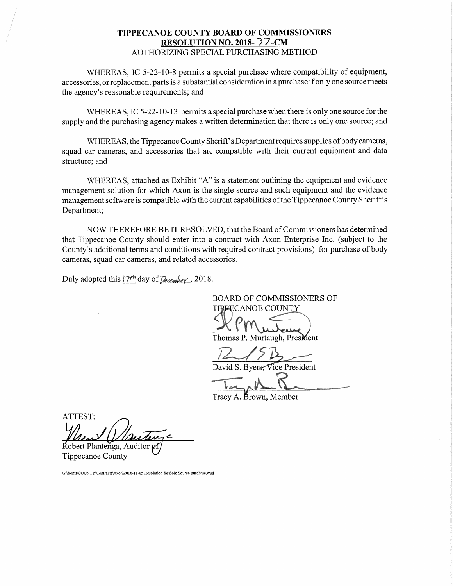# TIPPECANOE COUNTY BOARD OF COMMISSIONERS RESOLUTION NO. 2018- $\sqrt[3]{7}$ -CM AUTHORIZING SPECIAL PURCHASING METHOD

WHEREAS, 1C 5-22-10-8 permits <sup>a</sup> special purchase where compatibility of equipment, accessories, or replacement parts is <sup>a</sup> substantial consideration in <sup>a</sup> purchase ifonly one source meets the agency's reasonable requirements; and

WHEREAS, IC 5-22-10-13 permits a special purchase when there is only one source for the supply and the purchasing agency makes <sup>a</sup> written determination that there is only one source; and

WHEREAS, the Tippecanoe County Sheriff's Department requires supplies of body cameras, squad car cameras, and accessories that are compatible with their current equipment and data structure; and

WHEREAS, attached as Exhibit "A" is <sup>a</sup> statement outlining the equipment and evidence management solution for which Axon is the single source and such equipment and the evidence management software is compatible with the current capabilities of the Tippecanoe County Sheriff's Department;

NOW THEREFORE BE IT RESOLVED, that the Board of Commissioners has determined that Tippecanoe County should enter into <sup>a</sup> contract with Axon Enterprise Inc. (subject to the County's additional terms and conditions with required contract provisions) for purchase of body cameras, squad carcameras, and related accessories.

Duly adopted this  $\frac{17^{\frac{1}{10}}}{2}$  day of  $\sqrt{2}$  ecember, 2018.

**BOARD OF COMMISSIONERS OF TIBPECANOE COUNTY** , where the contract of the contract of Thomas P. Murtaugh, President

responsibility of the local division in the local division in the local division in the local division in the local division in the local division in the local division in the local division in the local division in the lo David S. Byers. Vice President

Tracv A. Brown. Member

ATTEST: Robert Plantenga, Auditor

Tippecanoe County

G:\forms\COUNTY\Contracts\Axon\2018-11-05 Resolution for Sole Source purchase.wpd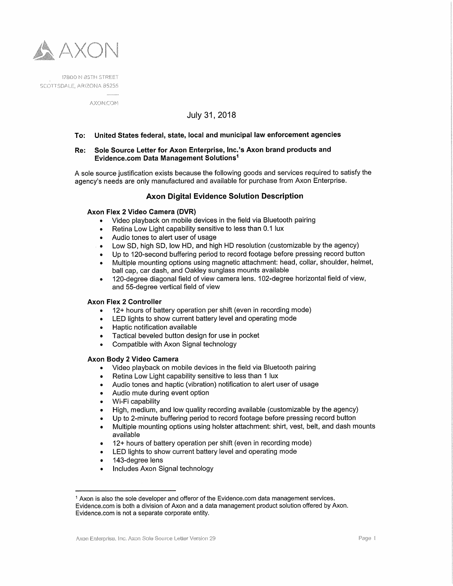

**AXON.COM** 

# July 31, 2018

#### To: United States federal, state, local and municipal law enforcement agencies

## Re: Sole Source Letter for Axon Enterprise, |nc.'s Axon brand products and Evidence.com Data Management Solutions1

A sole source justification exists because the following goods and services required to satisfy the agency's needs are only manufactured and available for purchase from Axon Enterprise.

## Axon Digital Evidence Solution Description

# Axon Flex 2 Video Camera (DVR)

- Video playback on mobile devices in the field via Bluetooth pairing  $\bullet$
- Retina Low Light capability sensitive to less than 0.1 lux  $\bullet$
- Audio tones to alert user of usage
- Low SD, high SD, low HD, and high HD resolution (customizable by the agency)
- Up to 120-second buffering period to record footage before pressing record button
- Multiple mounting options using magnetic attachment: head, collar, shoulder, helmet,  $\bullet$ ball cap, car dash, and Oakley sunglass mounts available
- 120-degree diagonal field of view camera lens. 102-degree horizontal field of view,  $\bullet$ and 55-degree vertical field of view

#### Axon Flex 2 Controller

- 12+ hours of battery operation per shift (even in recording mode)
- LED lights to show current battery level and operating mode
- Haptic notification available  $\bullet$
- Tactical beveled button design for use in pocket
- $\bullet$ Compatible with Axon Signal technology

#### Axon Body 2 Video Camera

- Video playback on mobile devices in the field via Bluetooth pairing  $\bullet$
- Retina Low Light capability sensitive to less than <sup>1</sup> lux
- Audio tones and haptic (vibration) notification to alert user of usage
- Audio mute during event option
- Wi-Fi capability
- High, medium, and low quality recording available (customizable by the agency)
- Up to 2-minute buffering period to record footage before pressing record button
- Multiple mounting options using holster attachment: shirt, vest, belt, and dash mounts available
- 12+ hours of battery operation per shift (even in recording mode)
- LED lights to show current battery level and operating mode
- 143-degree lens
- Includes Axon Signal technology

<sup>1</sup> $<sup>1</sup>$  Axon is also the sole developer and offeror of the Evidence.com data management services.</sup> Evidence.com is both a division of Axon and a data management product solution offered by Axon. Evidence.com is not a separate corporate entity.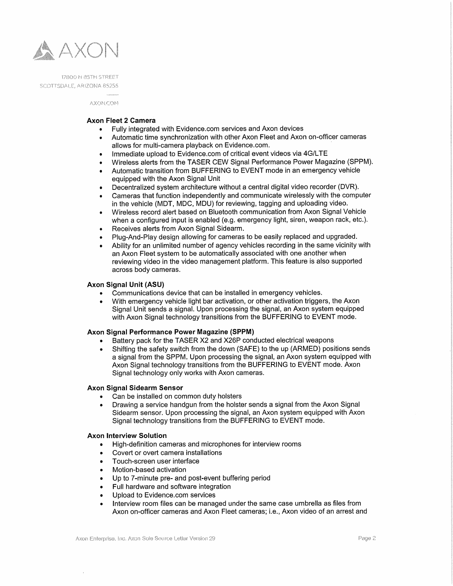

AXON.COM

## Axon Fleet 2 Camera

- Fully integrated with Evidence.com services and Axon devices
- Automatic time synchronization with other Axon Fleet and Axon on-officer cameras allows for multi-camera playback on Evidence.com. '
- Immediate upload to Evidence.com of critical event videos via 4G/LTE
- Wireless alerts from the TASER CEW Signal Performance Power Magazine (SPPM).
- Automatic transition from BUFFERlNG to EVENT mode in an emergency vehicle equipped with the Axon Signal Unit
- Decentralized system architecture without <sup>a</sup> central digital video recorder (DVR).
- Cameras that function independently and communicate wirelessly with the computer in the vehicle (MDT, MDC, MDU) for reviewing, tagging and uploading video.
- Wireless record alert based on Bluetooth communication from Axon Signal Vehicle when <sup>a</sup> configured input is enabled (e.g. emergency light, siren, weapon rack, etc.).
- Receives alerts from Axon Signal Sidearm.
- PIug-And-Play design allowing for cameras to be easily replaced and upgraded.
- Ability for an unlimited number of agency vehicles recording in the same vicinity with an Axon Fleet system to be automatically associated with one another when reviewing video in the video management platform. This feature is also supported across body cameras.

### Axon Signal Unit (ASU)

- Communications device that can be installed in emergency vehicles.
- With emergency vehicle light bar activation, or other activation triggers, the Axon  $\bullet$ Signal Unit sends <sup>a</sup> signal. Upon processing the signal, an Axon system equipped with Axon Signal technology transitions from the BUFFERlNG to EVENT mode.

## Axon Signal Performance Power Magazine (SPPM)

- Battery pack for the TASER X2 and X26P conducted electrical weapons  $\bullet$
- Shifting the safety switch from the down (SAFE) to the up (ARMED) positions sends  $\bullet$ <sup>a</sup> signal from the SPPM. Upon processing the signal, an Axon system equipped with Axon Signal technology transitions from the BUFFERlNG to EVENT mode. Axon Signal technology only works with Axon cameras.

## Axon Signal Sidearm Sensor

- Can be installed on common duty holsters
- Drawing <sup>a</sup> service handgun from the holster sends <sup>a</sup> signal from the Axon Signal Sidearm sensor. Upon processing the signal, an Axon system equipped with Axon Signal technology transitions from the BUFFERlNG to EVENT mode.

## Axon Interview Solution

- High-definition cameras and microphones for interview rooms
- Covert or overt camera installations  $\bullet$
- Touch-screen user interface
- Motion-based activation
- Up to 7—minute pre— and post-event buffering period  $\bullet$
- Full hardware and software integration
- Upload to Evidence.com services  $\bullet$
- Interview room files can be managed under the same case umbrella as files from  $\bullet$ Axon on-officer cameras and Axon Fleet cameras; i.e., Axon video of an arrest and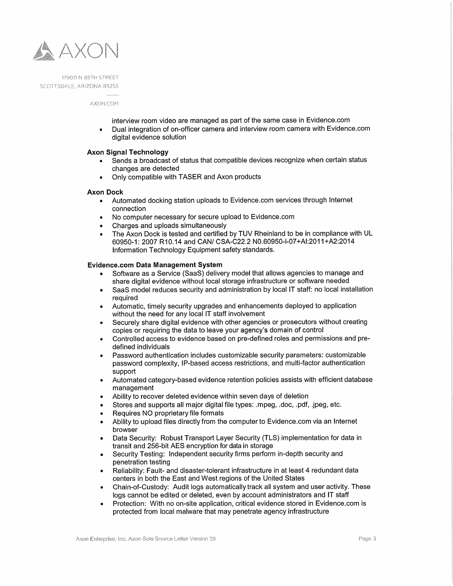

AXON.COM

interview room video are managed as part of the same case in Evidence.com

• Dual integration of on-officer camera and interview room camera with Evidence.com digital evidence solution

#### Axon Signal Technology

- Sends a broadcast of status that compatible devices recognize when certain status changes are detected
- Only compatible with TASER and Axon products

#### Axon Dock

- 4» Automated docking station uploads to Evidence.com services through Internet connection
- No computer necessary for secure upload to Evidence.com
- 0 Charges and uploads simultaneously
- The Axon Dock is tested and certified by TUV Rheinland to be in compliance with UL 60950-1: 2007 R10.14 and CAN/ GSA-022.2 NO.6OQ5O-l-07+Al:2011+A222014 Information Technology Equipment safety standards.

## Evidence.com Data Management System

- Software as <sup>a</sup> Service (SaaS) delivery model that allows agencies to manage and share digital evidence without local storage infrastructure or software needed
- SaaS model reduces security and administration by local IT staff: no local installation required
- ¢ Automatic, timely security upgrades and enhancements deployed to application without the need for any local IT staff involvement
- Securely share digital evidence with other agencies or prosecutors without creating copies or requiring the data to leave your agency's domain of control
- Controlled access to evidence based on pre-defined roles and permissions and pre defined individuals
- Password authentication includes customizable security parameters: customizable password complexity, lP-based access restrictions, and multi—factor authentication support
- Automated category-based evidence retention policies assists with efficient database management
- Ability to recover deleted evidence within seven days of deletion
- Stores and supports all major digital file types: .mpeg, .doc, .pdf, .jpeg, etc.
- Requires NO proprietary file formats
- Ability to upload files directly from the computer to Evidence.com via an Internet browser
- Data Security: Robust Transport Layer Security (TLS) implementation for data in transit and 256-bit AES encryption for data in storage
- . Security Testing: Independent security firms perform in-depth security and penetration testing
- Reliability: Fault- and disaster-tolerant infrastructure in at least 4 redundant data centers in both the East and West regions of the United States
- Chain-of-Custody: Audit logs automatically track all system and user activity. These  $\bullet$ logs cannot be edited or deleted, even by account administrators and IT staff
- Protection: With no on-site application, critical evidence stored in Evidence.com is protected from local malware that may penetrate agency infrastructure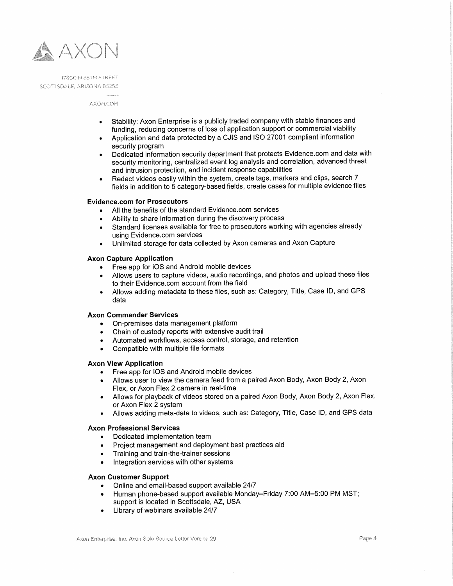

**AXON.COM** 

- Stability: Axon Enterprise is <sup>a</sup> publicly traded company with stable finances and funding, reducing concerns of loss of application support or commercial viability
- Application and data protected by <sup>a</sup> CJlS and lSO <sup>27001</sup> compliant information security program
- Dedicated information security department that protects Evidence.com and data with  $\bullet$ security monitoring, centralized event log analysis and correlation, advanced threat and intrusion protection, and incident response capabilities
- Redact videos easily within the system, create tags, markers and clips, search <sup>7</sup> fields in addition to <sup>5</sup> category-based fields, create cases for multiple evidence files

#### Evidence.com for Prosecutors

- All the benefits of the standard Evidence.com services
- Ability to share information during the discovery process
- Standard licenses available for free to prosecutors working with agencies already  $\bullet$ using Evidence.com services
- Unlimited storage fordata collected by Axon cameras and Axon Capture ٠

#### Axon Capture Application

- Free app for iOS and Android mobile devices  $\bullet$
- Allows users to capture videos, audio recordings, and photos and upload these files to their Evidence.com account from the field
- Allows adding metadata to these files, such as: Category, Title, Case ID, and GPS data

## Axon Commander Services

- On-premises data management platform  $\bullet$
- Chain of custody reports with extensive audit trail
- Automated workflows, access control, storage, and retention
- Compatible with multiple file formats

#### Axon View Application

- Free app for lOS and Android mobile devices
- Allows user to View the camera feed from <sup>a</sup> paired Axon Body, Axon Body 2, Axon Flex, or Axon Flex 2 camera in real-time
- Allows for playback of videos stored on <sup>a</sup> paired Axon Body, Axon Body 2, Axon Flex, or Axon Flex 2 system
- Allows adding meta-data to videos, such as: Category, Title, Case lD, and GPS data  $\bullet$

#### Axon Professional Services

- Dedicated implementation team
- Project management and deployment best practices aid
- Training and train-the-trainer sessions
- Integration services with other systems

#### Axon Customer Support

- Online and email-based support available 24/7  $\bullet$
- Human phone-based support available'Monday—Friday 7:00 AM—5:OO PM MST;  $\bullet$ support is located in Scottsdale, AZ, USA
- Library of webinars available 24/7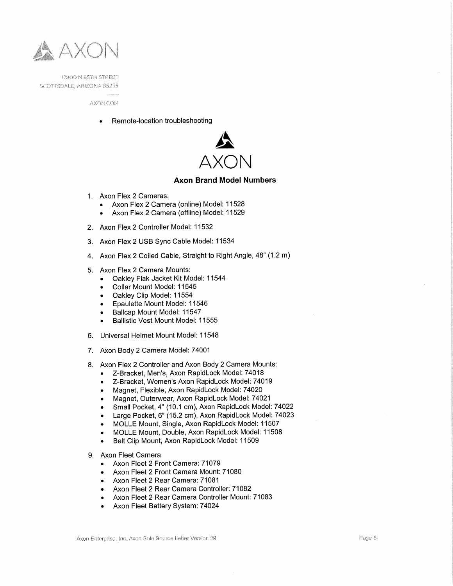

**AXON.COM** 

Remote-location troubleshooting



## Axon Brand Model Numbers

- 1. Axon Flex 2 Cameras:
	- $\bullet$ Axon Flex 2 Camera (online) Model: 11528
	- .Axon Flex 2 Camera (offline) Model: 11529
- 2. Axon FI<br>3. Axon FI<br>4. Axon FI<br>5. Axon FI 2. Axon Flex 2 Controller Model: 11532
- Axon Flex 2 USB Sync Cable Model: 11534
- Axon Flex <sup>2</sup> Coiled Cable, Straight to Right Angle, 48" (1.2 m)
- 5. Axon Flex 2 Camera Mounts:
	- 0 Oakley Flak Jacket Kit Model: 11544
	- -Collar Mount Model: 11545
	- Oakley Clip Model: 11554
	- 0 Epaulette Mount Model: 11546
	- Ballcap Mount Model: 11547
	- Ballistic Vest Mount Model: 11555
- Universal Helmet Mount Model: 11548
- >1 Axon Body 2 Camera Model: 74001
- 8. Axon Flex 2 Controller and Axon Body 2 Camera Mounts:
	- Z-Bracket, Men's, Axon RapidLock Model: 74018
	- Z—Bracket, Women's Axon RapidLock Model: 74019
	- 0 Magnet, Flexible, Axon RapidLock Model: 74020
	- Magnet, Outerwear, Axon RapidLock Model: 74021
	- Small Pocket, 4" (10.1 cm), Axon RapidLock Model: 74022
	- Large Pocket, 6" (15.2 cm), Axon RapidLock Model: <sup>74023</sup>
	- 0 MOLLE Mount, Single, Axon RapidLock Model: 11507
	- MOLLE Mount, Double, Axon RapidLock Model: 11508
	- Belt Clip Mount, Axon RapidLock Model: 11509  $\bullet$
- 9. Axon Fleet Camera
	- Axon Fleet 2 Front Camera: 71079
	- Axon Fleet 2 Front Camera Mount: 71080
	- Axon Fleet 2 Rear Camera: 71081
	- Axon Fleet 2 Rear Camera Controller: 71082  $\bullet$
	- Axon Fleet 2 Rear Camera Controller Mount: 71083  $\bullet$
	- Axon Fleet Battery System: 74024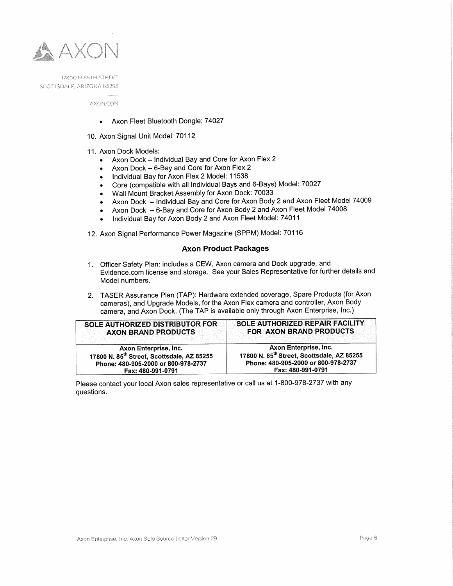

> **AXON.COM**

- <sup>o</sup> Axon Fleet Bluetooth Dongle: 74027
- 10. Axon Signal Unit Model: 70112
- 11. Axon Dock Models:
	- $\bullet$ Axon Dock — Individual Bay and Core for Axon Flex <sup>2</sup>
	- Axon Dock 6-Bay and Core for Axon Flex 2  $\bullet$
	- Individual Bay for Axon Flex <sup>2</sup> Model: 11538  $\bullet$
	- Core (compatible with all Individual Bays and 6—Bays) Model: <sup>70027</sup>  $\bullet$
	- Wall Mount Bracket Assembly for Axon Dock: 70033
	- Axon Dock Individual Bay and Core for Axon Body 2 and Axon Fleet Model 74009  $\bullet$
	- Axon Dock 6-Bay and Core for Axon Body <sup>2</sup> and Axon Fleet Model <sup>74008</sup>  $\bullet$
	- Individual Bay for Axon Body <sup>2</sup> and Axon Fleet Model: <sup>74011</sup>  $\bullet$

12. Axon Signal Performance Power Magazine (SPPM) Model: <sup>70116</sup>

## Axon Product Packages

- 1. Officer Safety Plan: includes <sup>a</sup> CEW, Axon camera and Dock upgrade, and Evidence.com license and storage. See your Sales Representative for further details and Model numbers.
- 2. TASER Assurance Plan (TAP): Hardware extended coverage, Spare Products (for Axon cameras), and Upgrade Models, for the Axon Flex camera and controller, Axon Body camera, and Axon Dock. (The TAP is available only through Axon Enterprise, Inc.)

| <b>SOLE AUTHORIZED DISTRIBUTOR FOR</b>                 | SOLE AUTHORIZED REPAIR FACILITY                        |
|--------------------------------------------------------|--------------------------------------------------------|
| <b>AXON BRAND PRODUCTS</b>                             | FOR AXON BRAND PRODUCTS                                |
| Axon Enterprise, Inc.                                  | Axon Enterprise, Inc.                                  |
| 17800 N. 85 <sup>th</sup> Street, Scottsdale, AZ 85255 | 17800 N. 85 <sup>th</sup> Street, Scottsdale, AZ 85255 |
| Phone: 480-905-2000 or 800-978-2737                    | Phone: 480-905-2000 or 800-978-2737                    |
| Fax: 480-991-0791                                      | Fax: 480-991-0791                                      |

Please contact your local Axon sales representative or call us at 1-800-978-2737 with any questions.